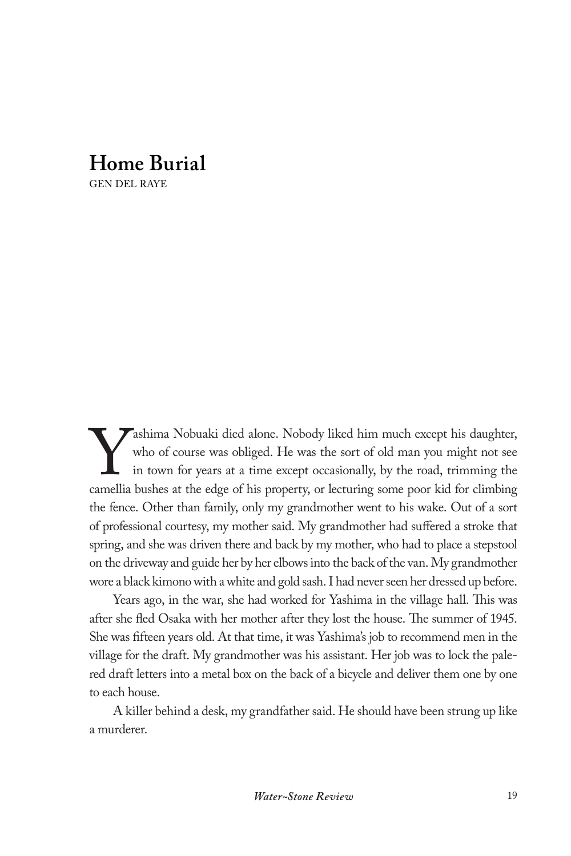## **Home Burial**

GEN DEL RAYE

Yashima Nobuaki died alone. Nobody liked him much except his daughter, who of course was obliged. He was the sort of old man you might not see in town for years at a time except occasionally, by the road, trimming the camellia bushes at the edge of his property, or lecturing some poor kid for climbing the fence. Other than family, only my grandmother went to his wake. Out of a sort of professional courtesy, my mother said. My grandmother had suffered a stroke that spring, and she was driven there and back by my mother, who had to place a stepstool on the driveway and guide her by her elbows into the back of the van. My grandmother wore a black kimono with a white and gold sash. I had never seen her dressed up before.

Years ago, in the war, she had worked for Yashima in the village hall. This was after she fled Osaka with her mother after they lost the house. The summer of 1945. She was fifteen years old. At that time, it was Yashima's job to recommend men in the village for the draft. My grandmother was his assistant. Her job was to lock the palered draft letters into a metal box on the back of a bicycle and deliver them one by one to each house.

A killer behind a desk, my grandfather said. He should have been strung up like a murderer.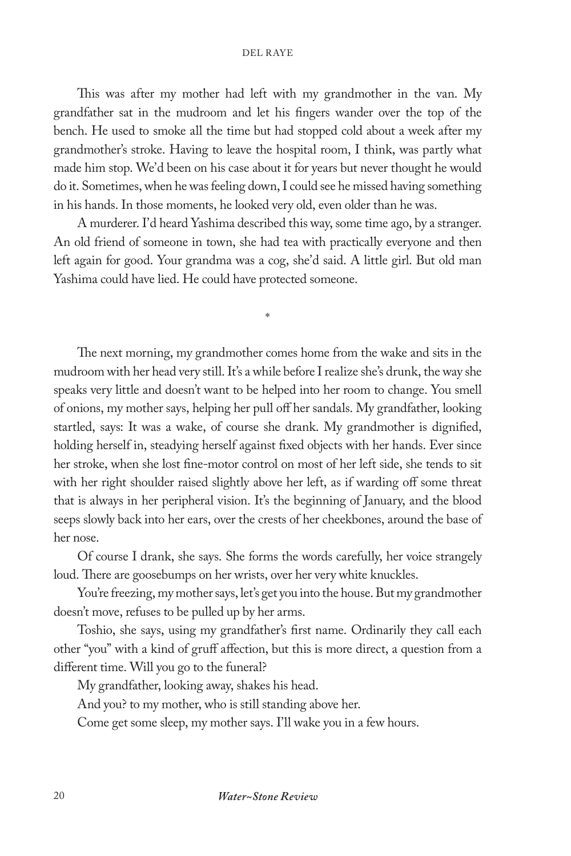## DEL RAYE

This was after my mother had left with my grandmother in the van. My grandfather sat in the mudroom and let his fingers wander over the top of the bench. He used to smoke all the time but had stopped cold about a week after my grandmother's stroke. Having to leave the hospital room, I think, was partly what made him stop. We'd been on his case about it for years but never thought he would do it. Sometimes, when he was feeling down, I could see he missed having something in his hands. In those moments, he looked very old, even older than he was.

A murderer. I'd heard Yashima described this way, some time ago, by a stranger. An old friend of someone in town, she had tea with practically everyone and then left again for good. Your grandma was a cog, she'd said. A little girl. But old man Yashima could have lied. He could have protected someone.

\*

The next morning, my grandmother comes home from the wake and sits in the mudroom with her head very still. It's a while before I realize she's drunk, the way she speaks very little and doesn't want to be helped into her room to change. You smell of onions, my mother says, helping her pull off her sandals. My grandfather, looking startled, says: It was a wake, of course she drank. My grandmother is dignified, holding herself in, steadying herself against fixed objects with her hands. Ever since her stroke, when she lost fine-motor control on most of her left side, she tends to sit with her right shoulder raised slightly above her left, as if warding off some threat that is always in her peripheral vision. It's the beginning of January, and the blood seeps slowly back into her ears, over the crests of her cheekbones, around the base of her nose.

Of course I drank, she says. She forms the words carefully, her voice strangely loud. There are goosebumps on her wrists, over her very white knuckles.

You're freezing, my mother says, let's get you into the house. But my grandmother doesn't move, refuses to be pulled up by her arms.

Toshio, she says, using my grandfather's first name. Ordinarily they call each other "you" with a kind of gruff affection, but this is more direct, a question from a different time. Will you go to the funeral?

My grandfather, looking away, shakes his head.

And you? to my mother, who is still standing above her.

Come get some sleep, my mother says. I'll wake you in a few hours.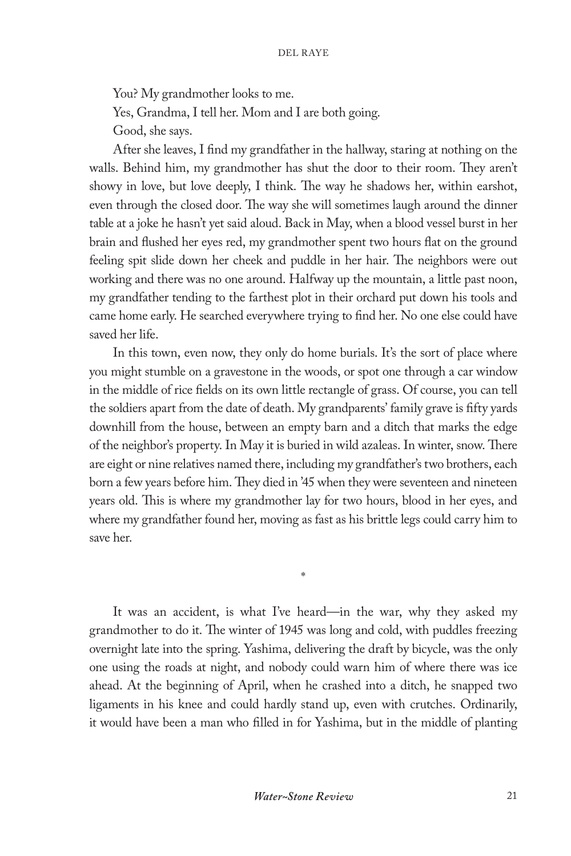You? My grandmother looks to me. Yes, Grandma, I tell her. Mom and I are both going. Good, she says.

After she leaves, I find my grandfather in the hallway, staring at nothing on the walls. Behind him, my grandmother has shut the door to their room. They aren't showy in love, but love deeply, I think. The way he shadows her, within earshot, even through the closed door. The way she will sometimes laugh around the dinner table at a joke he hasn't yet said aloud. Back in May, when a blood vessel burst in her brain and flushed her eyes red, my grandmother spent two hours flat on the ground feeling spit slide down her cheek and puddle in her hair. The neighbors were out working and there was no one around. Halfway up the mountain, a little past noon, my grandfather tending to the farthest plot in their orchard put down his tools and came home early. He searched everywhere trying to find her. No one else could have saved her life.

In this town, even now, they only do home burials. It's the sort of place where you might stumble on a gravestone in the woods, or spot one through a car window in the middle of rice fields on its own little rectangle of grass. Of course, you can tell the soldiers apart from the date of death. My grandparents' family grave is fifty yards downhill from the house, between an empty barn and a ditch that marks the edge of the neighbor's property. In May it is buried in wild azaleas. In winter, snow. There are eight or nine relatives named there, including my grandfather's two brothers, each born a few years before him. They died in '45 when they were seventeen and nineteen years old. This is where my grandmother lay for two hours, blood in her eyes, and where my grandfather found her, moving as fast as his brittle legs could carry him to save her.

It was an accident, is what I've heard—in the war, why they asked my grandmother to do it. The winter of 1945 was long and cold, with puddles freezing overnight late into the spring. Yashima, delivering the draft by bicycle, was the only one using the roads at night, and nobody could warn him of where there was ice ahead. At the beginning of April, when he crashed into a ditch, he snapped two ligaments in his knee and could hardly stand up, even with crutches. Ordinarily, it would have been a man who filled in for Yashima, but in the middle of planting

\*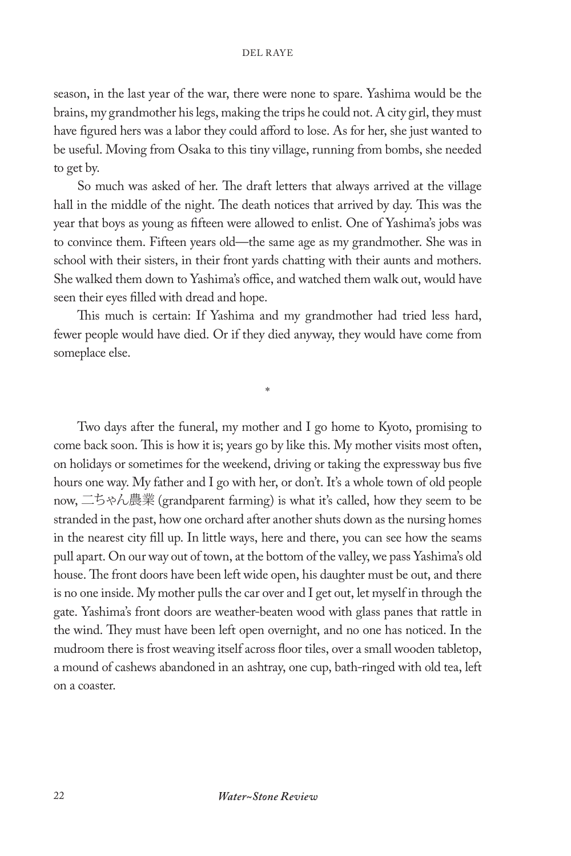season, in the last year of the war, there were none to spare. Yashima would be the brains, my grandmother his legs, making the trips he could not. A city girl, they must have figured hers was a labor they could afford to lose. As for her, she just wanted to be useful. Moving from Osaka to this tiny village, running from bombs, she needed to get by.

So much was asked of her. The draft letters that always arrived at the village hall in the middle of the night. The death notices that arrived by day. This was the year that boys as young as fifteen were allowed to enlist. One of Yashima's jobs was to convince them. Fifteen years old—the same age as my grandmother. She was in school with their sisters, in their front yards chatting with their aunts and mothers. She walked them down to Yashima's office, and watched them walk out, would have seen their eyes filled with dread and hope.

This much is certain: If Yashima and my grandmother had tried less hard, fewer people would have died. Or if they died anyway, they would have come from someplace else.

\*

Two days after the funeral, my mother and I go home to Kyoto, promising to come back soon. This is how it is; years go by like this. My mother visits most often, on holidays or sometimes for the weekend, driving or taking the expressway bus five hours one way. My father and I go with her, or don't. It's a whole town of old people now, 二ちゃん農業 (grandparent farming) is what it's called, how they seem to be stranded in the past, how one orchard after another shuts down as the nursing homes in the nearest city fill up. In little ways, here and there, you can see how the seams pull apart. On our way out of town, at the bottom of the valley, we pass Yashima's old house. The front doors have been left wide open, his daughter must be out, and there is no one inside. My mother pulls the car over and I get out, let myself in through the gate. Yashima's front doors are weather-beaten wood with glass panes that rattle in the wind. They must have been left open overnight, and no one has noticed. In the mudroom there is frost weaving itself across floor tiles, over a small wooden tabletop, a mound of cashews abandoned in an ashtray, one cup, bath-ringed with old tea, left on a coaster.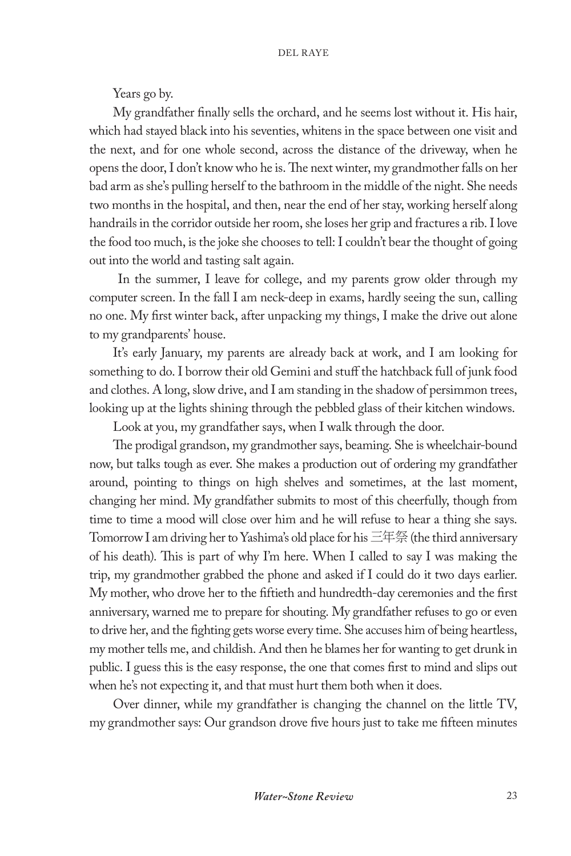Years go by.

My grandfather finally sells the orchard, and he seems lost without it. His hair, which had stayed black into his seventies, whitens in the space between one visit and the next, and for one whole second, across the distance of the driveway, when he opens the door, I don't know who he is. The next winter, my grandmother falls on her bad arm as she's pulling herself to the bathroom in the middle of the night. She needs two months in the hospital, and then, near the end of her stay, working herself along handrails in the corridor outside her room, she loses her grip and fractures a rib. I love the food too much, is the joke she chooses to tell: I couldn't bear the thought of going out into the world and tasting salt again.

 In the summer, I leave for college, and my parents grow older through my computer screen. In the fall I am neck-deep in exams, hardly seeing the sun, calling no one. My first winter back, after unpacking my things, I make the drive out alone to my grandparents' house.

It's early January, my parents are already back at work, and I am looking for something to do. I borrow their old Gemini and stuff the hatchback full of junk food and clothes. A long, slow drive, and I am standing in the shadow of persimmon trees, looking up at the lights shining through the pebbled glass of their kitchen windows.

Look at you, my grandfather says, when I walk through the door.

The prodigal grandson, my grandmother says, beaming. She is wheelchair-bound now, but talks tough as ever. She makes a production out of ordering my grandfather around, pointing to things on high shelves and sometimes, at the last moment, changing her mind. My grandfather submits to most of this cheerfully, though from time to time a mood will close over him and he will refuse to hear a thing she says. Tomorrow I am driving her to Yashima's old place for his 三年祭 (the third anniversary of his death). This is part of why I'm here. When I called to say I was making the trip, my grandmother grabbed the phone and asked if I could do it two days earlier. My mother, who drove her to the fiftieth and hundredth-day ceremonies and the first anniversary, warned me to prepare for shouting. My grandfather refuses to go or even to drive her, and the fighting gets worse every time. She accuses him of being heartless, my mother tells me, and childish. And then he blames her for wanting to get drunk in public. I guess this is the easy response, the one that comes first to mind and slips out when he's not expecting it, and that must hurt them both when it does.

Over dinner, while my grandfather is changing the channel on the little TV, my grandmother says: Our grandson drove five hours just to take me fifteen minutes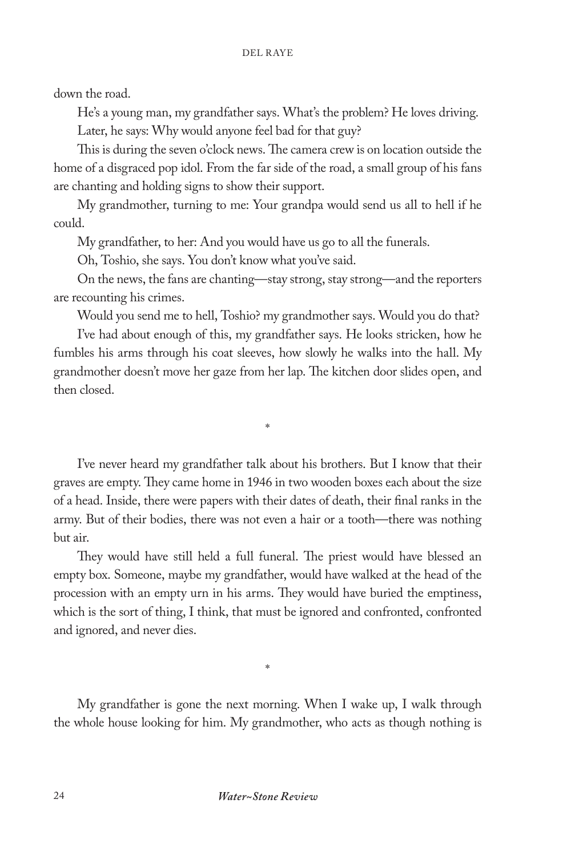down the road.

He's a young man, my grandfather says. What's the problem? He loves driving. Later, he says: Why would anyone feel bad for that guy?

This is during the seven o'clock news. The camera crew is on location outside the home of a disgraced pop idol. From the far side of the road, a small group of his fans are chanting and holding signs to show their support.

My grandmother, turning to me: Your grandpa would send us all to hell if he could.

My grandfather, to her: And you would have us go to all the funerals.

Oh, Toshio, she says. You don't know what you've said.

On the news, the fans are chanting—stay strong, stay strong—and the reporters are recounting his crimes.

Would you send me to hell, Toshio? my grandmother says. Would you do that?

I've had about enough of this, my grandfather says. He looks stricken, how he fumbles his arms through his coat sleeves, how slowly he walks into the hall. My grandmother doesn't move her gaze from her lap. The kitchen door slides open, and then closed.

\*

I've never heard my grandfather talk about his brothers. But I know that their graves are empty. They came home in 1946 in two wooden boxes each about the size of a head. Inside, there were papers with their dates of death, their final ranks in the army. But of their bodies, there was not even a hair or a tooth—there was nothing but air.

They would have still held a full funeral. The priest would have blessed an empty box. Someone, maybe my grandfather, would have walked at the head of the procession with an empty urn in his arms. They would have buried the emptiness, which is the sort of thing, I think, that must be ignored and confronted, confronted and ignored, and never dies.

My grandfather is gone the next morning. When I wake up, I walk through the whole house looking for him. My grandmother, who acts as though nothing is

\*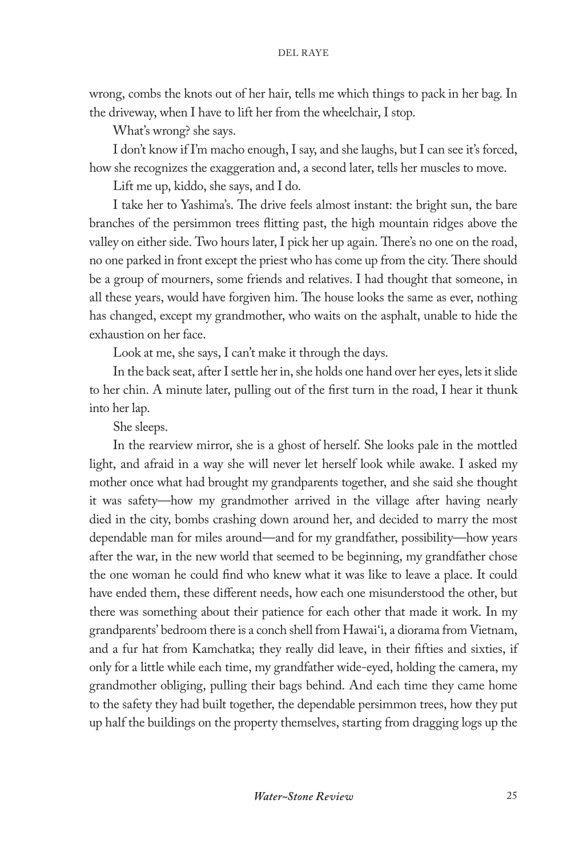wrong, combs the knots out of her hair, tells me which things to pack in her bag. In the driveway, when I have to lift her from the wheelchair, I stop.

What's wrong? she says.

I don't know if I'm macho enough, I say, and she laughs, but I can see it's forced, how she recognizes the exaggeration and, a second later, tells her muscles to move.

Lift me up, kiddo, she says, and I do.

I take her to Yashima's. The drive feels almost instant: the bright sun, the bare branches of the persimmon trees flitting past, the high mountain ridges above the valley on either side. Two hours later, I pick her up again. There's no one on the road, no one parked in front except the priest who has come up from the city. There should be a group of mourners, some friends and relatives. I had thought that someone, in all these years, would have forgiven him. The house looks the same as ever, nothing has changed, except my grandmother, who waits on the asphalt, unable to hide the exhaustion on her face.

Look at me, she says, I can't make it through the days.

In the back seat, after I settle her in, she holds one hand over her eyes, lets it slide to her chin. A minute later, pulling out of the first turn in the road, I hear it thunk into her lap.

She sleeps.

In the rearview mirror, she is a ghost of herself. She looks pale in the mottled light, and afraid in a way she will never let herself look while awake. I asked my mother once what had brought my grandparents together, and she said she thought it was safety—how my grandmother arrived in the village after having nearly died in the city, bombs crashing down around her, and decided to marry the most dependable man for miles around—and for my grandfather, possibility—how years after the war, in the new world that seemed to be beginning, my grandfather chose the one woman he could find who knew what it was like to leave a place. It could have ended them, these different needs, how each one misunderstood the other, but there was something about their patience for each other that made it work. In my grandparents' bedroom there is a conch shell from Hawai'i, a diorama from Vietnam, and a fur hat from Kamchatka; they really did leave, in their fifties and sixties, if only for a little while each time, my grandfather wide-eyed, holding the camera, my grandmother obliging, pulling their bags behind. And each time they came home to the safety they had built together, the dependable persimmon trees, how they put up half the buildings on the property themselves, starting from dragging logs up the